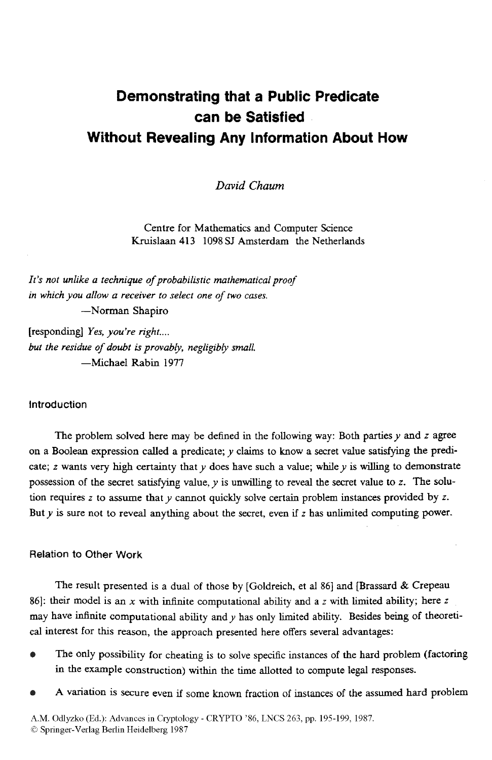# **Demonstrating that a Public Predicate can be Satisfied Without Revealing Any Information About How**

*David Chaum* 

Centre for Mathematics and Computer Science Kruislaan **413** 1098 *SJ* Amsterdam the Netherlands

*It's not unlike a technique* of *probabilistic mathematical proof in which you allow a receiver to select one* of two *cuses.*  -Norman Shapiro

[responding] *Yes, you're right* .... *but the residue of doubt is provably, negligibly small.* -Michael Rabin 1977

# Introduction

The problem solved here may be defined in the following way: Both parties *y* and z agree on a Boolean expression *called* a predicate; *y* claims to know a secret value satisfymg the predicate; *z* wants very high certainty that  $y$  does have such a value; while  $y$  is willing to demonstrate possession of the secret satisfying value, y is unwilling to reveal the secret value to z. The solution requires *z* to assume that *y* cannot quickly solve certain problem instances provided by *I.*  But *y* is sure not to reveal anything about the secret, even if *z* has unlimited computing power.

### Relation to Other Work

The result presented is a dual of those by [Goldreich, et al 86] and [Brassard & Crepeau 861: their model **is** an *x* with infinite computational ability and a z with limited ability; here *z*  may have infinite computational ability and *y* has only limited ability. Besides being of theoretical interest for this reason, the approach presented here offers several advantages:

- The Only possibility for cheating **is** to solve specific instances of the hard problem (factoring **in** the example construction) within the **time** allotted to compute legal responses.
- **A** variation is Secure even if some known fraction **of** instances of the assumed hard problem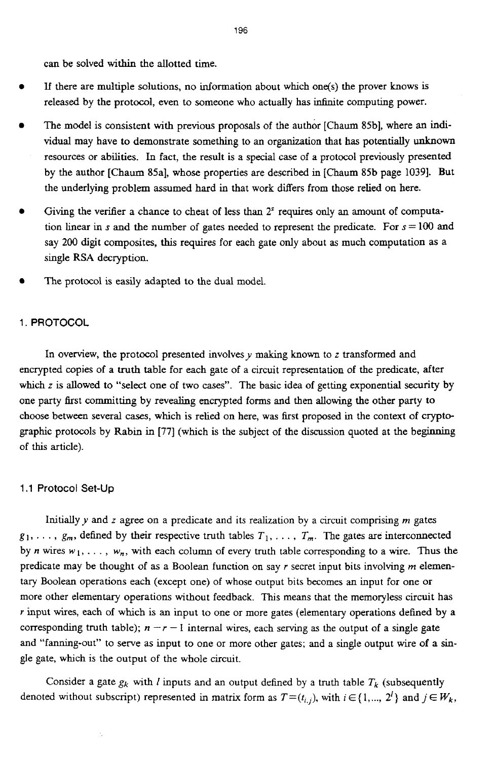can be solved within the allotted time.

- If there are multiple solutions, no information about which one(s) the prover knows **is**  released by the protocol, even to someone who actually has infinite computing power.
- The model is consistent with previous proposals of the author [Chaum 85b], where an individual may have to demonstrate something to an organization that has potentially unknown resources or abilities. In fact, the result is a special case of a protocol previously presented by the author [Chaum SSa], whose properties are described in [Chaum 85b page 10391. But the underlying problem assumed hard in that work differs from those relied on here.
- Giving the verifier a chance to cheat of less than 2<sup>s</sup> requires only an amount of computation linear in s and the number of gates needed to represent the predicate. For  $s = 100$  and say 200 digit composites, this requires for each gate only about as much computation **as** a single **RSA** decryption.
- The protocol **is easily** adapted to the dual model.

# 1. **PROTOCOL**

In overview, the protocol presented involves  $y$  making known to  $z$  transformed and encrypted copies of a truth table for each gate of a circuit representation of the predicate, after which *z* is allowed to "select one of two cases". The basic idea of getting exponential security by one party first committing by revealing encrypted forms and then allowing the other party to choose between several cases, which is relied on here, was first proposed in the context of cryptographic protocols by Rabin in [77] (which **is** the subject of the discussion quoted at the beginning of this article).

#### **1.1** Protocol **Set-Up**

Initially  $y$  and  $z$  agree on a predicate and its realization by a circuit comprising  $m$  gates  $g_1, \ldots, g_m$ , defined by their respective truth tables  $T_1, \ldots, T_m$ . The gates are interconnected by *n* wires  $w_1, \ldots, w_n$ , with each column of every truth table corresponding to a wire. Thus the predicate may be thought of **as** a Boolean function on say *r* secret input bits involving *m* elementary Boolean operations each (except one) of whose output bits becomes **an** input for one or more other elementary operations without feedback. This means that the memoryless circuit has *r* input wires, each of which is an input to one or more gates (elementary operations defined by a corresponding truth table);  $n - r - 1$  internal wires, each serving as the output of a single gate and "fanning-out'' to serve **as** input to one or more other gates; and a single output wire of a single gate, which is the output of the whole circuit.

Consider a gate  $g_k$  with *I* inputs and an output defined by a truth table  $T_k$  (subsequently denoted without subscript) represented in matrix form as  $T=(t_{i,j})$ , with  $i \in \{1,..., 2^l\}$  and  $j \in W_k$ ,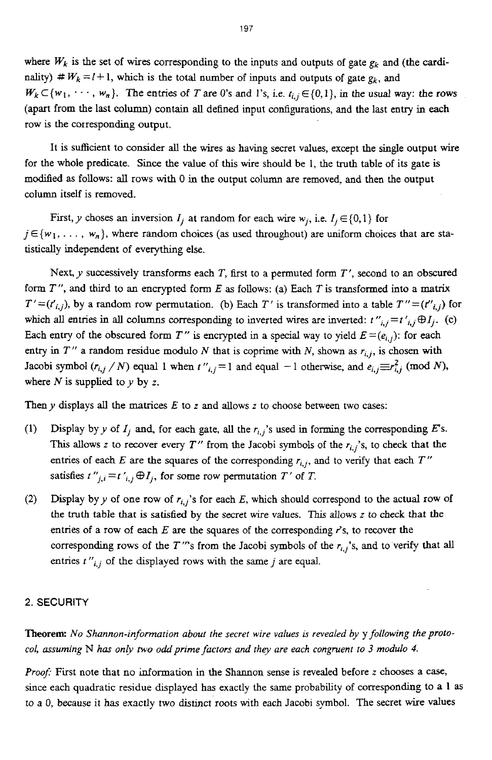where  $W_k$  is the set of wires corresponding to the inputs and outputs of gate  $g_k$  and (the cardinality)  $# W_k = l + 1$ , which is the total number of inputs and outputs of gate  $g_k$ , and  $W_k \subset \{w_1, \dots, w_n\}$ . The entries of *T* are 0's and 1's, i.e.  $t_{i,j} \in \{0,1\}$ , in the usual way: the rows (apart from the last column) contain all defined input configurations, and the last entry in each row is the corresponding output.

It is sufficient to consider all the wires as having secret values, except the single output wire for the whole predicate. **Since** the value of this wire should be 1, the truth table of its gate **is**  modified as follows: all rows with 0 in the output column are removed, and then the output column itself is removed.

First, y choses an inversion  $I_i$  at random for each wire  $w_i$ , i.e.  $I_i \in \{0,1\}$  for  $j \in \{w_1, \ldots, w_n\}$ , where random choices (as used throughout) are uniform choices that are statistically independent of everything else.

Next, y successively transforms each *T,* first to **a** permuted form *<sup>T</sup>*', second to an obscured form *<sup>T</sup>*", and third to an encrypted form *E* as follows: (a) Each *T* is transformed into a **matrix**   $T'=(t'_{i,j})$ , by a random row permutation. (b) Each *T'* is transformed into a table  $T''=(t''_{i,j})$  for which all entries in all columns corresponding to inverted wires are inverted:  $t''_{i,j} = t'_{i,j} \oplus I_i$ . (c) Each entry of the obscured form *T*" is encrypted in a special way to yield  $E = (e_{i,j})$ : for each entry in  $T''$  a random residue modulo *N* that is coprime with *N*, shown as  $r_{i,j}$ , is chosen with Jacobi symbol  $(r_{i,j} / N)$  equal 1 when  $t''_{i,j} = 1$  and equal  $-1$  otherwise, and  $e_{i,j} \equiv r_{i,j}^2 \pmod{N}$ , where  $N$  is supplied to  $y$  by z.

Then  $y$  displays all the matrices  $E$  to  $z$  and allows  $z$  to choose between two cases:

- (1) Display by y of  $I_i$  and, for each gate, all the  $r_{i,j}$ 's used in forming the corresponding *E*'s. This allows z to recover every  $T''$  from the Jacobi symbols of the  $r_{i,j}$ 's, to check that the entries of each  $E$  are the squares of the corresponding  $r_{i,j}$ , and to verify that each  $T''$ satisfies  $t''_{j,i} = t'_{i,j} \oplus I_j$ , for some row permutation  $T'$  of  $T$ .
- Display by y of one row of  $r_{i,j}$ 's for each  $E$ , which should correspond to the actual row of the truth table that is **satisfied** by the secret wire values. This allows z to check that the entries of a row of each *E* are the squares of the corresponding r's, to recover the corresponding rows of the *T*"'s from the Jacobi symbols of the  $r_{i,j}$ 's, and to verify that all entries  $t''_{i,j}$  of the displayed rows with the same *j* are equal. **(2)**

#### **2.** SECURITY

**Theorem:** *No Shannon-information about the secret wire values* is *revealed by* y *following theprotocol, assuming* N *has only two odd prime factors and they are each congruent to 3 modulo 4.* 

*Proof:* First note that no information in the Shannon sense is revealed before z chooses a case, since each quadratic residue displayed **has** exactly the same probability of corresponding to a **1 as**  to a 0, because *it* has exactly two distinct roots with each Jacobi symbol. The secret wire values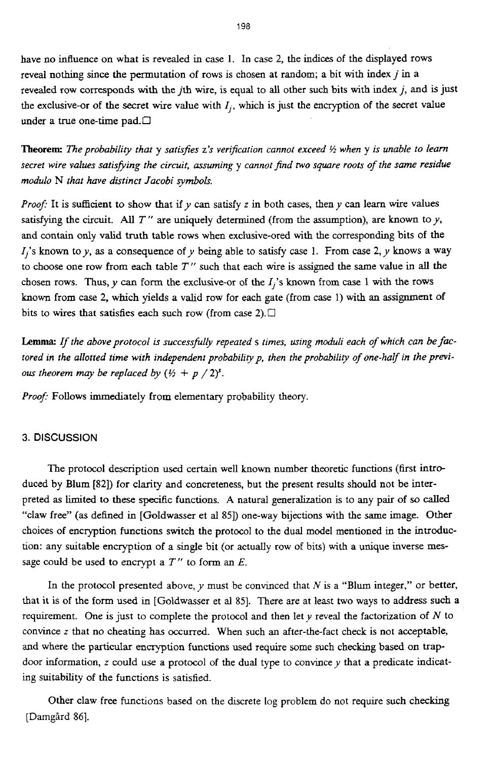have no influence on what **is** revealed in case 1. In case *2,* the indices of the displayed rows reveal nothing since the permutation of rows is chosen at random; a bit with index  $j$  in a revealed row corresponds with the jth wire, is equal to all other such bits with index *j,* **and is** just the exclusive-or of the secret wire value with  $I_i$ , which is just the encryption of the secret value under a true one-time pad.<sup>[]</sup>

**Theorem:** The probability that **y** satisfies **z's** verification cannot exceed  $\frac{1}{2}$  when **y** is unable to learn *secret wire values satishing the circuit, assuming* y *cannot find two square roots of the same residue modulo* N *that have distinct Jacobi symbols.* 

*Proof:* It is sufficient to show that if *y* can satisfy *z* in both cases, then *y* can learn wire values satisfying the circuit. All  $T''$  are uniquely determined (from the assumption), are known to  $y$ , and contain only valid truth table rows when exclusive-ored with the corresponding bits of the  $I_i$ 's known to y, as a consequence of y being able to satisfy case 1. From case 2, y knows a way to choose one row from each table *T"* such that each wire is **assigned** the same value in all the chosen rows. Thus,  $y$  can form the exclusive-or of the  $I_j$ 's known from case 1 with the rows known from case *2,* which yields a valid row for each gate (from *case* 1) with an assignment **of**  bits to wires that satisfies each such row (from case 2). $\Box$ 

Lemma: *If the above protocol* is *successfulb repeated* s *times, using moduli each of which can be factored in the allotted time with independent probabiliy p, then the probabilig of one-half in the previous theorem may be replaced by*  $(\frac{1}{2} + p / 2)^s$ .

Proof: Follows immediately from elementary probability theory.

# **3.** DISCUSSION

The protocol description used certain well known number theoretic functions (first *intro*duced by Blum **[82])** for clarity **and** concreteness, but the present results should not be interpreted **as** limited to these specific functions. **A** natural generalization is to any pair of **so** called "claw free" **(as** defined **in** [Goldwasser et al **851)** one-way bijections with the same image. Other choices of encryption functions switch the protocol to the dual model mentioned in the introduction: any suitable encryption of a single bit (or actually row of bits) with a unique inverse **mes**sage could be used to encrypt a *T"* to form **an** *E.* 

**In** the protocol presented above, *y* must be convinced that *N* is a "Blum integer," or better, that it **is** of the form used in [Goldwasser et al 851. There are at least two ways to address such **a**  requirement. One is just to complete the protocol and then lety reveal the factorization of *N* to convince *z* that no cheating **has** occurred. When such an after-the-fact check is not acceptable, and where the particular encryption functions used require some such checking based on trapdoor information, *z* **could** use a protocol of the dual type to convincey that a predicate **indicat**ing suitability of the functions is satisfied.

Other claw free functions based on the dscrete log problem do not require such checking [Damgård 86].